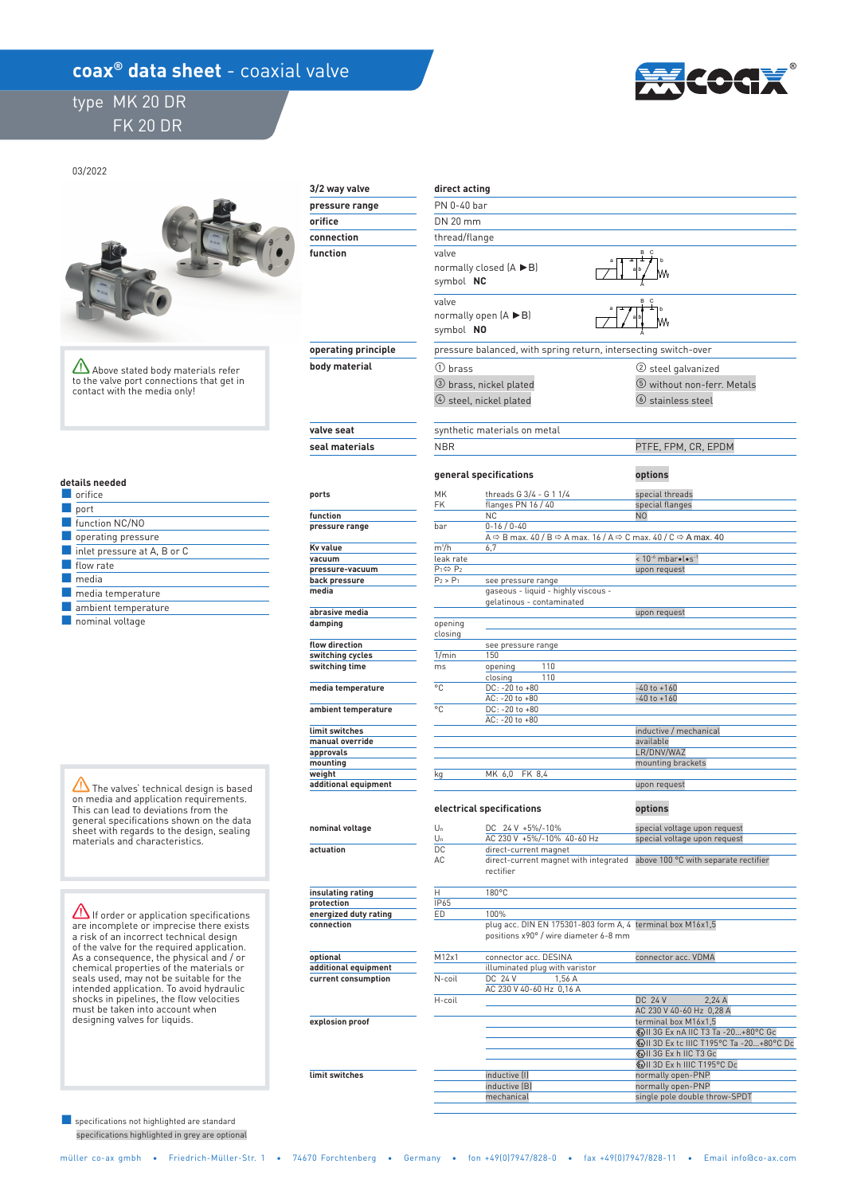## **coax<sup>®</sup> data sheet** - coaxial valve

## type MK 20 DR FK 20 DR



03/2022



 **explosion proof** 

 **limit switches** 

Above stated body materials refer to the valve port connections that get in contact with the media only!

|  | details needed |  |  |  |
|--|----------------|--|--|--|
|  |                |  |  |  |

| <b>Orifice</b>                                  |
|-------------------------------------------------|
| port                                            |
| function NC/NO                                  |
| operating pressure                              |
| $\blacksquare$ inlet pressure at A, B or C      |
| flow rate                                       |
| media                                           |
| media temperature                               |
| ambient temperature                             |
| the contract of the contract of the contract of |

■ nominal voltage

 $\sqrt{N}$  The valves' technical design is based on media and application requirements. This can lead to deviations from the general specifications shown on the data sheet with regards to the design, sealing materials and characteristics.

If order or application specifications are incomplete or imprecise there exists a risk of an incorrect technical design of the valve for the required application. As a consequence, the physical and / or chemical properties of the materials or seals used, may not be suitable for the intended application. To avoid hydraulic shocks in pipelines, the flow velocities must be taken into account when designing valves for liquids.

 specifications highlighted in grey are optional ■ specifications not highlighted are standard

| 3/2 way valve          | direct acting                            |                                                                                                                                    |                                                 |  |  |  |  |
|------------------------|------------------------------------------|------------------------------------------------------------------------------------------------------------------------------------|-------------------------------------------------|--|--|--|--|
| pressure range         |                                          | PN 0-40 bar                                                                                                                        |                                                 |  |  |  |  |
| orifice                |                                          | DN 20 mm                                                                                                                           |                                                 |  |  |  |  |
| connection             | thread/flange                            |                                                                                                                                    |                                                 |  |  |  |  |
| function               | valve                                    | normally closed $(A \triangleright B)$<br>symbol NC                                                                                |                                                 |  |  |  |  |
|                        | valve<br>symbol NO                       | normally open $(A \triangleright B)$                                                                                               | B.<br>$\mathbf c$                               |  |  |  |  |
| operating principle    |                                          | pressure balanced, with spring return, intersecting switch-over                                                                    |                                                 |  |  |  |  |
| body material          | $(1)$ brass                              |                                                                                                                                    | (2) steel galvanized                            |  |  |  |  |
|                        |                                          | 3 brass, nickel plated<br>$(4)$ steel, nickel plated                                                                               | 5 without non-ferr. Metals<br>6 stainless steel |  |  |  |  |
| valve seat             |                                          | synthetic materials on metal                                                                                                       |                                                 |  |  |  |  |
| seal materials         | <b>NBR</b>                               |                                                                                                                                    | PTFE, FPM, CR, EPDM                             |  |  |  |  |
|                        |                                          | general specifications                                                                                                             | options                                         |  |  |  |  |
| ports                  | MK<br>FK                                 | threads G 3/4 - G 1 1/4<br>flanges PN 16 / 40                                                                                      | special threads<br>special flanges              |  |  |  |  |
| function               |                                          | <b>NC</b>                                                                                                                          | N0                                              |  |  |  |  |
| pressure range         | bar                                      | $0 - 16 / 0 - 40$<br>A $\Rightarrow$ B max. 40 / B $\Rightarrow$ A max. 16 / A $\Rightarrow$ C max. 40 / C $\Rightarrow$ A max. 40 |                                                 |  |  |  |  |
| <b>Kv</b> value        | $m^3/h$                                  | 6,7                                                                                                                                |                                                 |  |  |  |  |
| vacuum                 | leak rate                                |                                                                                                                                    | < 10 <sup>-6</sup> mbar.l.s <sup>-1</sup>       |  |  |  |  |
| pressure-vacuum        | $P_1 \Leftrightarrow P_2$<br>$P_2 > P_1$ |                                                                                                                                    | upon request                                    |  |  |  |  |
| back pressure<br>media |                                          | see pressure range<br>gaseous - liquid - highly viscous -<br>gelatinous - contaminated                                             |                                                 |  |  |  |  |
| abrasive media         |                                          |                                                                                                                                    | upon request                                    |  |  |  |  |
| damping                | opening<br>closing                       |                                                                                                                                    |                                                 |  |  |  |  |
| flow direction         |                                          | see pressure range                                                                                                                 |                                                 |  |  |  |  |
| switching cycles       | 1/min<br>ms                              | 150<br>110                                                                                                                         |                                                 |  |  |  |  |
| switching time         | $^{\circ}$ C                             | opening<br>110<br>closing                                                                                                          |                                                 |  |  |  |  |
| media temperature      |                                          | DC: -20 to +80<br>AC: -20 to +80                                                                                                   | $-40$ to $+160$<br>$-40$ to $+160$              |  |  |  |  |
| ambient temperature    | °C                                       | DC: -20 to +80<br>$AC: -20 to +80$                                                                                                 |                                                 |  |  |  |  |
| limit switches         |                                          |                                                                                                                                    | inductive / mechanical                          |  |  |  |  |
| manual override        |                                          |                                                                                                                                    | available                                       |  |  |  |  |
| approvals              |                                          |                                                                                                                                    | LR/DNV/WAZ                                      |  |  |  |  |
| mounting<br>weight     |                                          | MK 6,0<br>FK 8,4                                                                                                                   | mounting brackets                               |  |  |  |  |
| additional equipment   | kg                                       |                                                                                                                                    | upon request                                    |  |  |  |  |
|                        |                                          | electrical specifications                                                                                                          | options                                         |  |  |  |  |
| nominal voltage        | Un                                       | DC 24 V +5%/-10%                                                                                                                   | special voltage upon request                    |  |  |  |  |
|                        | Un                                       | AC 230 V +5%/-10% 40-60 Hz                                                                                                         | special voltage upon request                    |  |  |  |  |
| actuation              | DC<br>AC                                 | direct-current magnet<br>direct-current magnet with integrated<br>rectifier                                                        | above 100 °C with separate rectifier            |  |  |  |  |
| insulating rating      | н                                        | 180°C                                                                                                                              |                                                 |  |  |  |  |
| protection             | IP65                                     |                                                                                                                                    |                                                 |  |  |  |  |
| energized duty rating  | ED                                       | 100%                                                                                                                               |                                                 |  |  |  |  |
| connection             |                                          | plug acc. DIN EN 175301-803 form A, 4 terminal box M16x1,5<br>positions x90° / wire diameter 6-8 mm                                |                                                 |  |  |  |  |
| optional               | M12x1                                    | connector acc. DESINA                                                                                                              | connector acc. VDMA                             |  |  |  |  |
| additional equipment   |                                          | illuminated plug with varistor                                                                                                     |                                                 |  |  |  |  |
| current consumption    | N-coil                                   | DC 24 V<br>156A                                                                                                                    |                                                 |  |  |  |  |

|        | illuminated plug with varistor |                                       |  |  |  |
|--------|--------------------------------|---------------------------------------|--|--|--|
| N-coil | DC 24 V<br>1.56A               |                                       |  |  |  |
|        | AC 230 V 40-60 Hz 0,16 A       |                                       |  |  |  |
| H-coil |                                | <b>DC 24 V</b><br>2.24A               |  |  |  |
|        |                                | AC 230 V 40-60 Hz 0,28 A              |  |  |  |
|        |                                | terminal box M16x1.5                  |  |  |  |
|        |                                | (x) II 3G Ex nA IIC T3 Ta -20+80°C Gc |  |  |  |
|        |                                | <b>EXILES 1195 C Ta -20+80 °C Dc</b>  |  |  |  |
|        |                                | <b>WHI 3G Ex h IIC T3 Gc</b>          |  |  |  |
|        |                                | <b>WILSO Ex h IIIC T195°C Dc</b>      |  |  |  |
|        | inductive [I]                  | normally open-PNP                     |  |  |  |
|        | inductive (B)                  | normally open-PNP                     |  |  |  |
|        | mechanical                     | single pole double throw-SPDT         |  |  |  |
|        |                                |                                       |  |  |  |